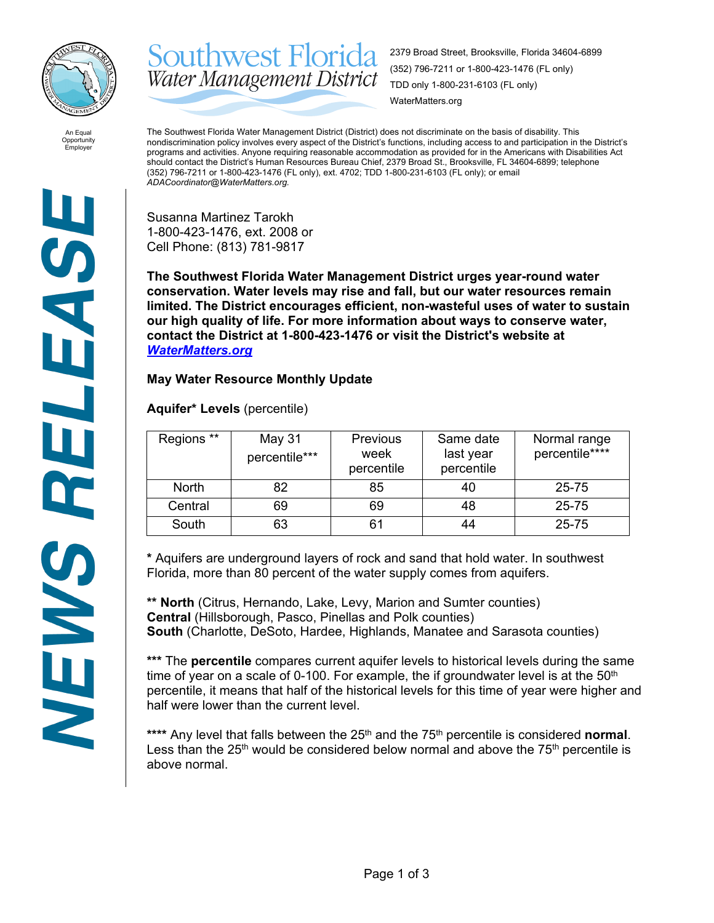

Southwest Florida 2379 Broad Street, Brooksville, Florida 34604-6899 (352) 796-7211 or 1-800-423-1476 (FL only) Water Management District TDD only 1-800-231-6103 (FL only) WaterMatters.org

An Equal Opportunity Employer

The Southwest Florida Water Management District (District) does not discriminate on the basis of disability. This nondiscrimination policy involves every aspect of the District's functions, including access to and participation in the District's programs and activities. Anyone requiring reasonable accommodation as provided for in the Americans with Disabilities Act should contact the District's Human Resources Bureau Chief, 2379 Broad St., Brooksville, FL 34604-6899; telephone (352) 796-7211 or 1-800-423-1476 (FL only), ext. 4702; TDD 1-800-231-6103 (FL only); or email *ADACoordinator@WaterMatters.org.*

Susanna Martinez Tarokh 1-800-423-1476, ext. 2008 or Cell Phone: (813) 781-9817

**The Southwest Florida Water Management District urges year-round water conservation. Water levels may rise and fall, but our water resources remain limited. The District encourages efficient, non-wasteful uses of water to sustain our high quality of life. For more information about ways to conserve water, contact the District at 1-800-423-1476 or visit the District's website at**  *[WaterMatters.org](http://watermatters.org/)*

## **May Water Resource Monthly Update**

**Aquifer\* Levels** (percentile)

| Regions **   | May 31<br>percentile*** | <b>Previous</b><br>week<br>percentile | Same date<br>last year<br>percentile | Normal range<br>percentile**** |
|--------------|-------------------------|---------------------------------------|--------------------------------------|--------------------------------|
| <b>North</b> | 82                      | 85                                    | 40                                   | 25-75                          |
| Central      | 69                      | 69                                    | 48                                   | 25-75                          |
| South        | 63                      | 61                                    |                                      | 25-75                          |

**\*** Aquifers are underground layers of rock and sand that hold water. In southwest Florida, more than 80 percent of the water supply comes from aquifers.

**\*\* North** (Citrus, Hernando, Lake, Levy, Marion and Sumter counties) **Central** (Hillsborough, Pasco, Pinellas and Polk counties) **South** (Charlotte, DeSoto, Hardee, Highlands, Manatee and Sarasota counties)

**\*\*\*** The **percentile** compares current aquifer levels to historical levels during the same time of year on a scale of 0-100. For example, the if groundwater level is at the  $50<sup>th</sup>$ percentile, it means that half of the historical levels for this time of year were higher and half were lower than the current level.

\*\*\*\* Any level that falls between the 25<sup>th</sup> and the 75<sup>th</sup> percentile is considered **normal**. Less than the  $25<sup>th</sup>$  would be considered below normal and above the  $75<sup>th</sup>$  percentile is above normal.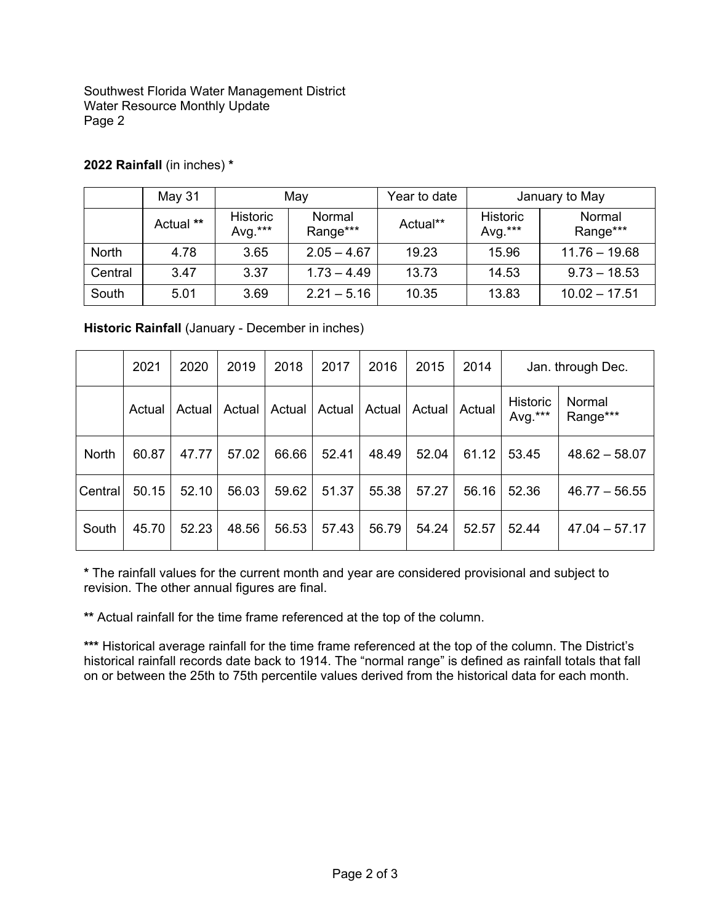Southwest Florida Water Management District Water Resource Monthly Update Page 2

|              | May 31    | May                           |                    | Year to date | January to May                |                    |
|--------------|-----------|-------------------------------|--------------------|--------------|-------------------------------|--------------------|
|              | Actual ** | <b>Historic</b><br>Avg. $***$ | Normal<br>Range*** | Actual**     | <b>Historic</b><br>Avg. $***$ | Normal<br>Range*** |
| <b>North</b> | 4.78      | 3.65                          | $2.05 - 4.67$      | 19.23        | 15.96                         | $11.76 - 19.68$    |
| Central      | 3.47      | 3.37                          | $1.73 - 4.49$      | 13.73        | 14.53                         | $9.73 - 18.53$     |
| South        | 5.01      | 3.69                          | $2.21 - 5.16$      | 10.35        | 13.83                         | $10.02 - 17.51$    |

## **2022 Rainfall** (in inches) **\***

**Historic Rainfall** (January - December in inches)

|              | 2021   | 2020   | 2019   | 2018   | 2017   | 2016   | 2015   | 2014   |                            | Jan. through Dec.  |
|--------------|--------|--------|--------|--------|--------|--------|--------|--------|----------------------------|--------------------|
|              | Actual | Actual | Actual | Actual | Actual | Actual | Actual | Actual | <b>Historic</b><br>Avg.*** | Normal<br>Range*** |
| <b>North</b> | 60.87  | 47.77  | 57.02  | 66.66  | 52.41  | 48.49  | 52.04  | 61.12  | 53.45                      | $48.62 - 58.07$    |
| Central      | 50.15  | 52.10  | 56.03  | 59.62  | 51.37  | 55.38  | 57.27  | 56.16  | 52.36                      | $46.77 - 56.55$    |
| South        | 45.70  | 52.23  | 48.56  | 56.53  | 57.43  | 56.79  | 54.24  | 52.57  | 52.44                      | $47.04 - 57.17$    |

**\*** The rainfall values for the current month and year are considered provisional and subject to revision. The other annual figures are final.

**\*\*** Actual rainfall for the time frame referenced at the top of the column.

**\*\*\*** Historical average rainfall for the time frame referenced at the top of the column. The District's historical rainfall records date back to 1914. The "normal range" is defined as rainfall totals that fall on or between the 25th to 75th percentile values derived from the historical data for each month.